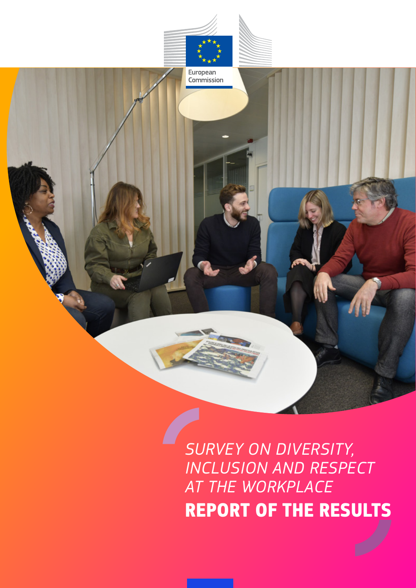

*Resources*

*SURVEY ON DIVERSITY, INCLUSION AND RESPECT AT THE WORKPLACE* **REPORT OF THE RESULTS**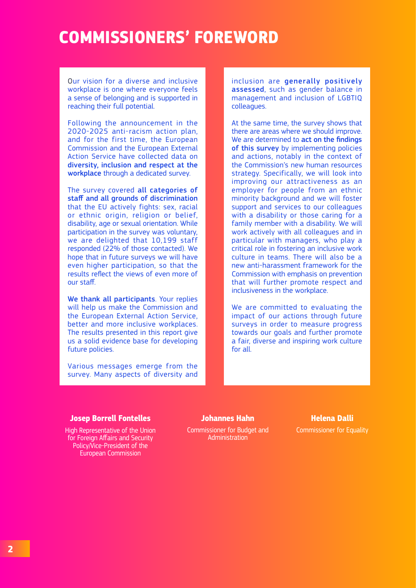### **COMMISSIONERS' FOREWORD**

Our vision for a diverse and inclusive workplace is one where everyone feels a sense of belonging and is supported in reaching their full potential.

Following the announcement in the 2020-2025 anti-racism action plan, and for the first time, the European Commission and the European External Action Service have collected data on diversity, inclusion and respect at the workplace through a dedicated survey.

The survey covered all categories of staff and all grounds of discrimination that the EU actively fights: sex, racial or ethnic origin, religion or belief, disability, age or sexual orientation. While participation in the survey was voluntary, we are delighted that 10,199 staff responded (22% of those contacted). We hope that in future surveys we will have even higher participation, so that the results reflect the views of even more of our staff.

We thank all participants. Your replies will help us make the Commission and the European External Action Service, better and more inclusive workplaces. The results presented in this report give us a solid evidence base for developing future policies.

Various messages emerge from the survey. Many aspects of diversity and inclusion are generally positively assessed, such as gender balance in management and inclusion of LGBTIQ colleagues.

At the same time, the survey shows that there are areas where we should improve. We are determined to **act on the findings** of this survey by implementing policies and actions, notably in the context of the Commission's new human resources strategy. Specifically, we will look into improving our attractiveness as an employer for people from an ethnic minority background and we will foster support and services to our colleagues with a disability or those caring for a family member with a disability. We will work actively with all colleagues and in particular with managers, who play a critical role in fostering an inclusive work culture in teams. There will also be a new anti-harassment framework for the Commission with emphasis on prevention that will further promote respect and inclusiveness in the workplace.

We are committed to evaluating the impact of our actions through future surveys in order to measure progress towards our goals and further promote a fair, diverse and inspiring work culture for all.

#### **Josep Borrell Fontelles**

High Representative of the Union for Foreign Affairs and Security Policy/Vice-President of the European Commission

#### **Johannes Hahn**

Commissioner for Budget and **Administration** 

#### **Helena Dalli** Commissioner for Equality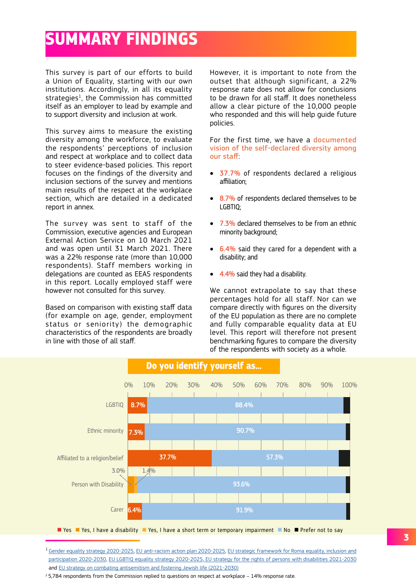# **SUMMARY FINDINGS**

This survey is part of our efforts to build a Union of Equality, starting with our own institutions. Accordingly, in all its equality strategies<sup>1</sup>, the Commission has committed itself as an employer to lead by example and to support diversity and inclusion at work.

This survey aims to measure the existing diversity among the workforce, to evaluate the respondents' perceptions of inclusion and respect at workplace and to collect data to steer evidence-based policies. This report focuses on the findings of the diversity and inclusion sections of the survey and mentions main results of the respect at the workplace section, which are detailed in a dedicated report in annex.

The survey was sent to staff of the Commission, executive agencies and European External Action Service on 10 March 2021 and was open until 31 March 2021. There was a 22% response rate (more than 10,000 respondents). Staff members working in delegations are counted as EEAS respondents in this report. Locally employed staff were however not consulted for this survey.

Based on comparison with existing staff data (for example on age, gender, employment status or seniority) the demographic characteristics of the respondents are broadly in line with those of all staff.

However, it is important to note from the outset that although significant, a 22% response rate does not allow for conclusions to be drawn for all staff. It does nonetheless allow a clear picture of the 10,000 people who responded and this will help guide future policies.

For the first time, we have a documented vision of the self-declared diversity among our staff:

- 37.7% of respondents declared a religious affiliation;
- 8.7% of respondents declared themselves to be LGBTIQ;
- 7.3% declared themselves to be from an ethnic minority background;
- 6.4% said they cared for a dependent with a disability; and
- 4.4% said they had a disability.

We cannot extrapolate to say that these percentages hold for all staff. Nor can we compare directly with figures on the diversity of the EU population as there are no complete and fully comparable equality data at EU level. This report will therefore not present benchmarking figures to compare the diversity of the respondents with society as a whole.



<sup>1</sup> [Gender equality strategy 2020-2025](https://ec.europa.eu/info/policies/justice-and-fundamental-rights/gender-equality/gender-equality-strategy_en), [EU anti-racism action plan 2020-2025](https://ec.europa.eu/info/policies/justice-and-fundamental-rights/combatting-discrimination/racism-and-xenophobia/eu-anti-racism-action-plan-2020-2025_en), [EU strategic framework for Roma equality, inclusion and](https://ec.europa.eu/info/publications/new-eu-roma-strategic-framework-equality-inclusion-and-participation-full-package_en) [participation 2020-2030,](https://ec.europa.eu/info/publications/new-eu-roma-strategic-framework-equality-inclusion-and-participation-full-package_en) [EU LGBTIQ equality strategy 2020-2025](https://ec.europa.eu/info/policies/justice-and-fundamental-rights/combatting-discrimination/lesbian-gay-bi-trans-and-intersex-equality/lgbtiq-equality-strategy-2020-2025_en), [EU strategy for the rights of persons with disabilities 2021-2030](https://ec.europa.eu/social/main.jsp?catId=738&langId=en&pubId=8376&furtherPubs=yes) and [EU strategy on combating antisemitism and fostering Jewish life \(2021-2030\)](https://ec.europa.eu/info/policies/justice-and-fundamental-rights/combatting-discrimination/racism-and-xenophobia/combating-antisemitism/eu-strategy-combating-antisemitism-and-fostering-jewish-life-2021-2030_en)

<sup>2</sup> 5,784 respondents from the Commission replied to questions on respect at workplace - 14% response rate.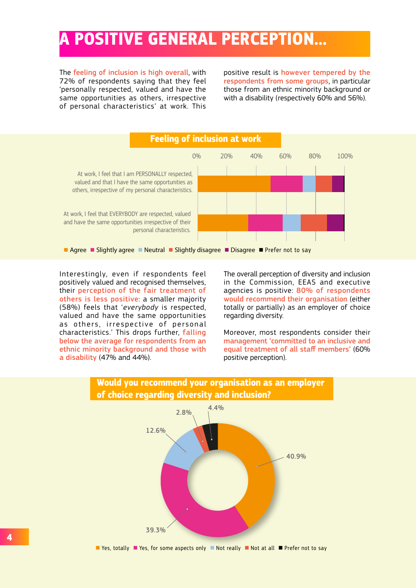# **A POSITIVE GENERAL PERCEPTION…**

The feeling of inclusion is high overall, with 72% of respondents saying that they feel 'personally respected, valued and have the same opportunities as others, irrespective of personal characteristics' at work. This

positive result is however tempered by the respondents from some groups, in particular those from an ethnic minority background or with a disability (respectively 60% and 56%).



Interestingly, even if respondents feel positively valued and recognised themselves, their perception of the fair treatment of others is less positive: a smaller majority (58%) feels that '*everybody* is respected, valued and have the same opportunities as others, irrespective of personal characteristics.' This drops further, falling below the average for respondents from an ethnic minority background and those with a disability (47% and 44%).

The overall perception of diversity and inclusion in the Commission, EEAS and executive agencies is positive: 80% of respondents would recommend their organisation (either totally or partially) as an employer of choice regarding diversity.

Moreover, most respondents consider their management 'committed to an inclusive and equal treatment of all staff members' (60% positive perception).



■ Yes, totally ■ Yes, for some aspects only ■ Not really ■ Not at all ■ Prefer not to say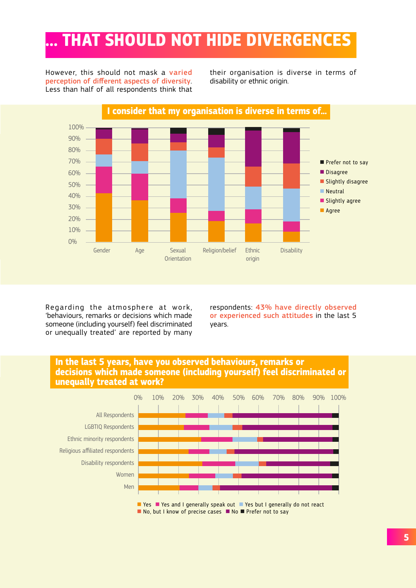# **… THAT SHOULD NOT HIDE DIVERGENCES**

However, this should not mask a varied perception of different aspects of diversity. Less than half of all respondents think that their organisation is diverse in terms of disability or ethnic origin.



Regarding the atmosphere at work, 'behaviours, remarks or decisions which made someone (including yourself) feel discriminated or unequally treated' are reported by many

respondents: 43% have directly observed or experienced such attitudes in the last 5 years.





■ Yes ■ Yes and I generally speak out ■ Yes but I generally do not react  $\blacksquare$  No, but I know of precise cases  $\blacksquare$  No  $\blacksquare$  Prefer not to say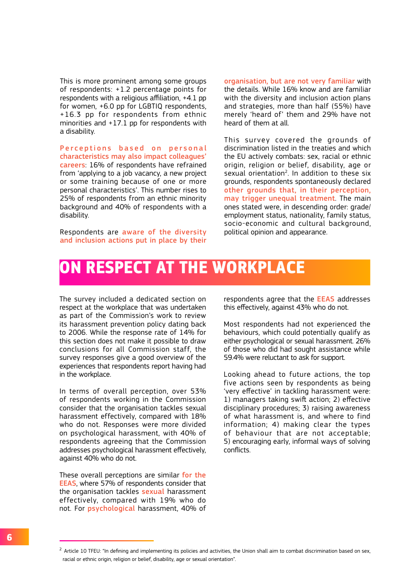This is more prominent among some groups of respondents: +1.2 percentage points for respondents with a religious affiliation, +4.1 pp for women, +6.0 pp for LGBTIQ respondents, +16.3 pp for respondents from ethnic minorities and +17.1 pp for respondents with a disability.

Perceptions based on personal characteristics may also impact colleagues' careers: 16% of respondents have refrained from 'applying to a job vacancy, a new project or some training because of one or more personal characteristics'. This number rises to 25% of respondents from an ethnic minority background and 40% of respondents with a disability.

Respondents are aware of the diversity and inclusion actions put in place by their

organisation, but are not very familiar with the details. While 16% know and are familiar with the diversity and inclusion action plans and strategies, more than half (55%) have merely 'heard of' them and 29% have not heard of them at all.

This survey covered the grounds of discrimination listed in the treaties and which the EU actively combats: sex, racial or ethnic origin, religion or belief, disability, age or sexual orientation<sup>2</sup>. In addition to these six grounds, respondents spontaneously declared other grounds that, in their perception, may trigger unequal treatment. The main ones stated were, in descending order: grade/ employment status, nationality, family status, socio-economic and cultural background, political opinion and appearance.

#### **ON RESPECT AT THE WORKPLACE**

The survey included a dedicated section on respect at the workplace that was undertaken as part of the Commission's work to review its harassment prevention policy dating back to 2006. While the response rate of 14% for this section does not make it possible to draw conclusions for all Commission staff, the survey responses give a good overview of the experiences that respondents report having had in the workplace.

In terms of overall perception, over 53% of respondents working in the Commission consider that the organisation tackles sexual harassment effectively, compared with 18% who do not. Responses were more divided on psychological harassment, with 40% of respondents agreeing that the Commission addresses psychological harassment effectively, against 40% who do not.

These overall perceptions are similar for the EEAS, where 57% of respondents consider that the organisation tackles sexual harassment effectively, compared with 19% who do not. For psychological harassment, 40% of

respondents agree that the EEAS addresses this effectively, against 43% who do not.

Most respondents had not experienced the behaviours, which could potentially qualify as either psychological or sexual harassment. 26% of those who did had sought assistance while 59.4% were reluctant to ask for support.

Looking ahead to future actions, the top five actions seen by respondents as being 'very effective' in tackling harassment were: 1) managers taking swift action; 2) effective disciplinary procedures; 3) raising awareness of what harassment is, and where to find information; 4) making clear the types of behaviour that are not acceptable; 5) encouraging early, informal ways of solving conflicts.

 $2$  Article 10 TFEU: "In defining and implementing its policies and activities, the Union shall aim to combat discrimination based on sex, racial or ethnic origin, religion or belief, disability, age or sexual orientation".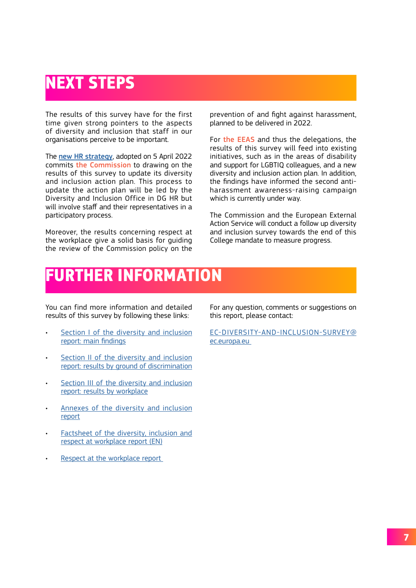## **NEXT STEPS**

The results of this survey have for the first time given strong pointers to the aspects of diversity and inclusion that staff in our organisations perceive to be important.

The [new HR strategy](https://ec.europa.eu/info/sites/default/files/c_2022_2229_2_en_act_part1_v12.pdf), adopted on 5 April 2022 commits the Commission to drawing on the results of this survey to update its diversity and inclusion action plan. This process to update the action plan will be led by the Diversity and Inclusion Office in DG HR but will involve staff and their representatives in a participatory process.

Moreover, the results concerning respect at the workplace give a solid basis for guiding the review of the Commission policy on the

prevention of and fight against harassment, planned to be delivered in 2022.

For the EEAS and thus the delegations, the results of this survey will feed into existing initiatives, such as in the areas of disability and support for LGBTIQ colleagues, and a new diversity and inclusion action plan. In addition, the findings have informed the second antiharassment awareness-raising campaign which is currently under way.

The Commission and the European External Action Service will conduct a follow up diversity and inclusion survey towards the end of this College mandate to measure progress.

### **FURTHER INFORMATION**

You can find more information and detailed results of this survey by following these links:

- Section I of the diversity and inclusion [report: main findings](https://myintracomm.ec.europa.eu/staff/Documents/working-conditions/diversity/Section%20I%20of%20the%20diversity%20and%20inclusion%20report%20main%20findings.pdf?d=w5f4724520a5f4a719bf6b3a89bf5f98e)
- [Section II of the diversity and inclusion](https://myintracomm.ec.europa.eu/staff/Documents/working-conditions/diversity/Section%20II%20of%20the%20diversity%20and%20inclusion%20report%20results%20by%20ground%20of%20discrimination.pdf?d=w6986d30e213949d18f4e7226a73a9f2b) [report: results by ground of discrimination](https://myintracomm.ec.europa.eu/staff/Documents/working-conditions/diversity/Section%20II%20of%20the%20diversity%20and%20inclusion%20report%20results%20by%20ground%20of%20discrimination.pdf?d=w6986d30e213949d18f4e7226a73a9f2b)
- Section III of the diversity and inclusion [report: results by workplace](https://myintracomm.ec.europa.eu/staff/Documents/working-conditions/diversity/Section%20III%20of%20the%20diversity%20and%20inclusion%20report%20results%20by%20workplace.pdf?d=w2d739771eebc49d9991a2625c0b68712)
- [Annexes of the diversity and inclusion](https://myintracomm.ec.europa.eu/staff/Documents/working-conditions/diversity/Annexes%20of%20the%20diversity%20and%20inclusion%20report.pdf?d=w8cab55a5ceca4807a188b341ca9077f9) [report](https://myintracomm.ec.europa.eu/staff/Documents/working-conditions/diversity/Annexes%20of%20the%20diversity%20and%20inclusion%20report.pdf?d=w8cab55a5ceca4807a188b341ca9077f9)
- Factsheet of the diversity, inclusion and [respect at workplace report](https://myintracomm.ec.europa.eu/staff/Documents/working-conditions/diversity/Factsheet%20Diversity%20and%20inclusion%20Survey_v7%20%28EN%29.pdf?d=w64cf12950e8f464698e39bb12b2512d0) (EN)
- Respect at the workplace report

For any question, comments or suggestions on this report, please contact:

[EC-DIVERSITY-AND-INCLUSION-SURVEY@](mailto:EC-DIVERSITY-AND-INCLUSION-SURVEY@ec.europa.eu) [ec.europa.eu](mailto:EC-DIVERSITY-AND-INCLUSION-SURVEY@ec.europa.eu)